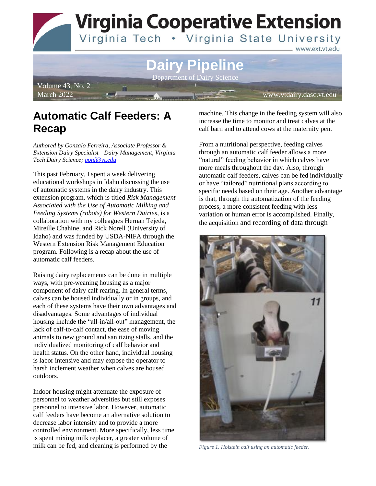

March 2022 **March 2022** www.vtdairy.dasc.vt.edu

**Automatic Calf Feeders: A Recap** 

*Authored by Gonzalo Ferreira, Associate Professor & Extension Dairy Specialist—Dairy Management, Virginia Tech Dairy Science; [gonf@vt.edu](mailto:gonf@vt.edu)*

This past February, I spent a week delivering educational workshops in Idaho discussing the use of automatic systems in the dairy industry. This extension program, which is titled *Risk Management Associated with the Use of Automatic Milking and Feeding Systems (robots) for Western Dairies*, is a collaboration with my colleagues Hernan Tejeda, Mireille Chahine, and Rick Norell (University of Idaho) and was funded by USDA-NIFA through the Western Extension Risk Management Education program. Following is a recap about the use of automatic calf feeders.

Raising dairy replacements can be done in multiple ways, with pre-weaning housing as a major component of dairy calf rearing. In general terms, calves can be housed individually or in groups, and each of these systems have their own advantages and disadvantages. Some advantages of individual housing include the "all-in/all-out" management, the lack of calf-to-calf contact, the ease of moving animals to new ground and sanitizing stalls, and the individualized monitoring of calf behavior and health status. On the other hand, individual housing is labor intensive and may expose the operator to harsh inclement weather when calves are housed outdoors.

Indoor housing might attenuate the exposure of personnel to weather adversities but still exposes personnel to intensive labor. However, automatic calf feeders have become an alternative solution to decrease labor intensity and to provide a more controlled environment. More specifically, less time is spent mixing milk replacer, a greater volume of milk can be fed, and cleaning is performed by the

machine. This change in the feeding system will also increase the time to monitor and treat calves at the calf barn and to attend cows at the maternity pen.

From a nutritional perspective, feeding calves through an automatic calf feeder allows a more "natural" feeding behavior in which calves have more meals throughout the day. Also, through automatic calf feeders, calves can be fed individually or have "tailored" nutritional plans according to specific needs based on their age. Another advantage is that, through the automatization of the feeding process, a more consistent feeding with less variation or human error is accomplished. Finally, the acquisition and recording of data through



*Figure 1. Holstein calf using an automatic feeder.*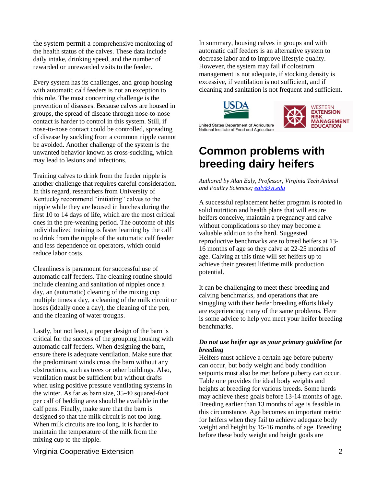the system permit a comprehensive monitoring of the health status of the calves. These data include daily intake, drinking speed, and the number of rewarded or unrewarded visits to the feeder.

Every system has its challenges, and group housing with automatic calf feeders is not an exception to this rule. The most concerning challenge is the prevention of diseases. Because calves are housed in groups, the spread of disease through nose-to-nose contact is harder to control in this system. Still, if nose-to-nose contact could be controlled, spreading of disease by suckling from a common nipple cannot be avoided. Another challenge of the system is the unwanted behavior known as cross-suckling, which may lead to lesions and infections.

Training calves to drink from the feeder nipple is another challenge that requires careful consideration. In this regard, researchers from University of Kentucky recommend "initiating" calves to the nipple while they are housed in hutches during the first 10 to 14 days of life, which are the most critical ones in the pre-weaning period. The outcome of this individualized training is faster learning by the calf to drink from the nipple of the automatic calf feeder and less dependence on operators, which could reduce labor costs.

Cleanliness is paramount for successful use of automatic calf feeders. The cleaning routine should include cleaning and sanitation of nipples once a day, an (automatic) cleaning of the mixing cup multiple times a day, a cleaning of the milk circuit or hoses (ideally once a day), the cleaning of the pen, and the cleaning of water troughs.

Lastly, but not least, a proper design of the barn is critical for the success of the grouping housing with automatic calf feeders. When designing the barn, ensure there is adequate ventilation. Make sure that the predominant winds cross the barn without any obstructions, such as trees or other buildings. Also, ventilation must be sufficient but without drafts when using positive pressure ventilating systems in the winter. As far as barn size, 35-40 squared-foot per calf of bedding area should be available in the calf pens. Finally, make sure that the barn is designed so that the milk circuit is not too long. When milk circuits are too long, it is harder to maintain the temperature of the milk from the mixing cup to the nipple.

Virginia Cooperative Extension 2

In summary, housing calves in groups and with automatic calf feeders is an alternative system to decrease labor and to improve lifestyle quality. However, the system may fail if colostrum management is not adequate, if stocking density is excessive, if ventilation is not sufficient, and if cleaning and sanitation is not frequent and sufficient.





# **Common problems with breeding dairy heifers**

*Authored by Alan Ealy, Professor, Virginia Tech Animal and Poultry Sciences; [ealy@vt.edu](mailto:jealy@vt.edu)*

A successful replacement heifer program is rooted in solid nutrition and health plans that will ensure heifers conceive, maintain a pregnancy and calve without complications so they may become a valuable addition to the herd. Suggested reproductive benchmarks are to breed heifers at 13- 16 months of age so they calve at 22-25 months of age. Calving at this time will set heifers up to achieve their greatest lifetime milk production potential.

It can be challenging to meet these breeding and calving benchmarks, and operations that are struggling with their heifer breeding efforts likely are experiencing many of the same problems. Here is some advice to help you meet your heifer breeding benchmarks.

### *Do not use heifer age as your primary guideline for breeding*

Heifers must achieve a certain age before puberty can occur, but body weight and body condition setpoints must also be met before puberty can occur. Table one provides the ideal body weights and heights at breeding for various breeds. Some herds may achieve these goals before 13-14 months of age. Breeding earlier than 13 months of age is feasible in this circumstance. Age becomes an important metric for heifers when they fail to achieve adequate body weight and height by 15-16 months of age. Breeding before these body weight and height goals are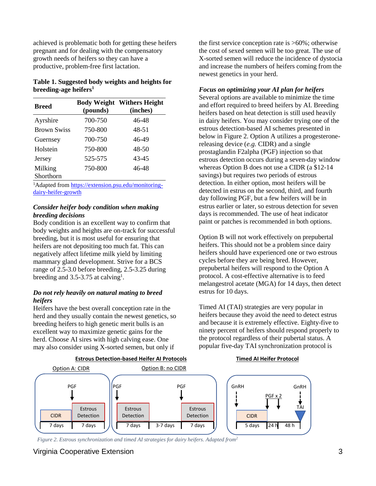achieved is problematic both for getting these heifers pregnant and for dealing with the compensatory growth needs of heifers so they can have a productive, problem-free first lactation.

### **Table 1. Suggested body weights and heights for breeding-age heifers<sup>1</sup>**

| <b>Breed</b>         | (pounds) | <b>Body Weight Withers Height</b><br>(inches) |
|----------------------|----------|-----------------------------------------------|
| Ayrshire             | 700-750  | 46-48                                         |
| <b>Brown Swiss</b>   | 750-800  | 48-51                                         |
| Guernsey             | 700-750  | 46-49                                         |
| Holstein             | 750-800  | 48-50                                         |
| Jersey               | 525-575  | 43-45                                         |
| Milking<br>Shorthorn | 750-800  | 46-48                                         |

<sup>1</sup>Adapted fro[m https://extension.psu.edu/monitoring](https://extension.psu.edu/monitoring-dairy-heifer-growth)[dairy-heifer-growth](https://extension.psu.edu/monitoring-dairy-heifer-growth) 

#### *Consider heifer body condition when making breeding decisions*

Body condition is an excellent way to confirm that body weights and heights are on-track for successful breeding, but it is most useful for ensuring that heifers are not depositing too much fat. This can negatively affect lifetime milk yield by limiting mammary gland development. Strive for a BCS range of 2.5-3.0 before breeding, 2.5-3.25 during breeding and  $3.5 - 3.75$  at calving<sup>1</sup>.

### *Do not rely heavily on natural mating to breed heifers*

Heifers have the best overall conception rate in the herd and they usually contain the newest genetics, so breeding heifers to high genetic merit bulls is an excellent way to maximize genetic gains for the herd. Choose AI sires with high calving ease. One may also consider using X-sorted semen, but only if

the first service conception rate is  $>60\%$ ; otherwise the cost of sexed semen will be too great. The use of X-sorted semen will reduce the incidence of dystocia and increase the numbers of heifers coming from the newest genetics in your herd.

## *Focus on optimizing your AI plan for heifers*

Several options are available to minimize the time and effort required to breed heifers by AI. Breeding heifers based on heat detection is still used heavily in dairy heifers. You may consider trying one of the estrous detection-based AI schemes presented in below in Figure 2. Option A utilizes a progesteronereleasing device (*e.g.* CIDR) and a single prostaglandin F2alpha (PGF) injection so that estrous detection occurs during a seven-day window whereas Option B does not use a CIDR (a \$12-14 savings) but requires two periods of estrous detection. In either option, most heifers will be detected in estrus on the second, third, and fourth day following PGF, but a few heifers will be in estrus earlier or later, so estrous detection for seven days is recommended. The use of heat indicator paint or patches is recommended in both options.

Option B will not work effectively on prepubertal heifers. This should not be a problem since dairy heifers should have experienced one or two estrous cycles before they are being bred. However, prepubertal heifers will respond to the Option A protocol. A cost-effective alternative is to feed melangestrol acetate (MGA) for 14 days, then detect estrus for 10 days.

Timed AI (TAI) strategies are very popular in heifers because they avoid the need to detect estrus and because it is extremely effective. Eighty-five to ninety percent of heifers should respond properly to the protocol regardless of their pubertal status. A popular five-day TAI synchronization protocol is



*Figure 2. Estrous synchronization and timed AI strategies for dairy heifers. Adapted from2*

# Virginia Cooperative Extension 3